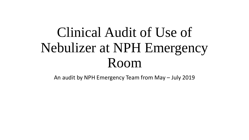# Clinical Audit of Use of Nebulizer at NPH Emergency Room

An audit by NPH Emergency Team from May – July 2019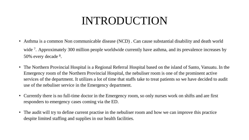### INTRODUCTION

- Asthma is a common Non communicable disease (NCD) . Can cause substantial disability and death world wide <sup>7</sup>. Approximately 300 million people worldwide currently have asthma, and its prevalence increases by 50% every decade <sup>8</sup>.
- The Northern Provincial Hospital is a Regional Referral Hospital based on the island of Santo, Vanuatu. In the Emergency room of the Northern Provincial Hospital, the nebuliser room is one of the prominent active services of the department. It utilizes a lot of time that staffs take to treat patients so we have decided to audit use of the nebuliser service in the Emergency department.
- Currently there is no full-time doctor in the Emergency room, so only nurses work on shifts and are first responders to emergency cases coming via the ED.
- The audit will try to define current practise in the nebuliser room and how we can improve this practice despite limited staffing and supplies in our health facilities.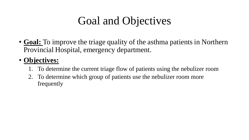## Goal and Objectives

• **Goal:** To improve the triage quality of the asthma patients in Northern Provincial Hospital, emergency department.

#### • **Objectives:**

- 1. To determine the current triage flow of patients using the nebulizer room
- 2. To determine which group of patients use the nebulizer room more frequently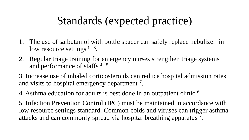### Standards (expected practice)

- 1. The use of salbutamol with bottle spacer can safely replace nebulizer in low resource settings  $1 - 3$ .
- 2. Regular triage training for emergency nurses strengthen triage systems and performance of staffs<sup>4-5</sup>.
- 3. Increase use of inhaled corticosteroids can reduce hospital admission rates and visits to hospital emergency department<sup>7</sup>.
- 4. Asthma education for adults is best done in an outpatient clinic <sup>6</sup>.

5. Infection Prevention Control (IPC) must be maintained in accordance with low resource settings standard. Common colds and viruses can trigger asthma attacks and can commonly spread via hospital breathing apparatus<sup>7</sup>.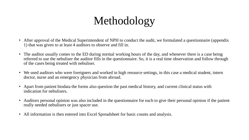## Methodology

- After approval of the Medical Superintendent of NPH to conduct the audit, we formulated a questionnaire (appendix 1) that was given to at least 4 auditors to observe and fill in.
- The auditor usually comes to the ED during normal working hours of the day, and whenever there is a case being referred to use the nebuliser the auditor fills in the questionnaire. So, it is a real time observation and follow through of the cases being treated with nebuliser.
- We used auditors who were foreigners and worked in high resource settings, in this case a medical student, intern doctor, nurse and an emergency physician from abroad.
- Apart from patient biodata the forms also question the past medical history, and current clinical status with indication for nebulisers.
- Auditors personal opinion was also included in the questionnaire for each to give their personal opinion if the patient really needed nebulisers or just spacer use.
- All information is then entered into Excel Spreadsheet for basic counts and analysis.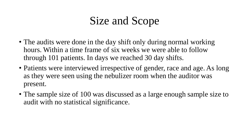### Size and Scope

- The audits were done in the day shift only during normal working hours. Within a time frame of six weeks we were able to follow through 101 patients. In days we reached 30 day shifts.
- Patients were interviewed irrespective of gender, race and age. As long as they were seen using the nebulizer room when the auditor was present.
- The sample size of 100 was discussed as a large enough sample size to audit with no statistical significance.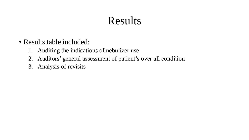### Results

- Results table included:
	- 1. Auditing the indications of nebulizer use
	- 2. Auditors' general assessment of patient's over all condition
	- 3. Analysis of revisits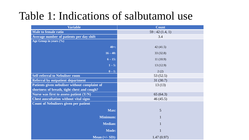### Table 1: Indications of salbutamol use

| <b>Variable</b>                               | <b>Count</b>  |
|-----------------------------------------------|---------------|
| <b>Male to female ratio</b>                   | 59:42(1.4, 1) |
| Average number of patients per day shift      | 3.4           |
| Age Group in years $(\% )$                    |               |
| $40 +:$                                       | 42(41.5)      |
| $16 - 40:$                                    | 33(32.8)      |
| $6 - 15$ :                                    | 11(10.9)      |
| $1 - 5:$                                      | 13(12.9)      |
| $0 - 1:$                                      | 2(2)          |
| <b>Self-referral to Nebuliser room</b>        | 53 $(52.5)$   |
| <b>Referral by outpatient department</b>      | 31(30.7)      |
| Patients given nebuliser without complaint of | 13(13)        |
| shortness of breath, tight chest and cough?   |               |
| Nurse was first to assess patient (Y/N)       | 65(64.3)      |
| <b>Chest auscultation without vital signs</b> | 46(45.5)      |
| <b>Count of Nebulisers given per patient</b>  |               |
| Max:                                          | 5             |
| Minimum:                                      | $\mathbf{1}$  |
| <b>Median:</b>                                | $\mathbf{1}$  |
| <b>Mode:</b>                                  | $\mathbf{1}$  |
| Mean $(+/- SD)$ :                             | 1.47(0.97)    |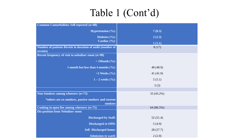### Table 1 (Cont'd)

| <b>Common Comorbidities Self-reported (n=88)</b>           |            |
|------------------------------------------------------------|------------|
| <b>Hypertension</b> $(\%)$ :                               | 7(8.3)     |
| Diabetes $(\%):$                                           | 2(2.3)     |
| Cardiac $(\frac{6}{6})$ :                                  | 1(1.1)     |
| Number of patients Revisit in duration of audit (number of | 8(17)      |
| revisits)                                                  |            |
| Recent frequency of visit to nebuliser room (n=98)         |            |
| $< 1$ Month $(\%):$                                        |            |
| 1 month but less than 4 months $(\%):$                     | 48 (48.9)  |
| >2 Weeks $(\%):$                                           | 41(41.9)   |
| $1 - 2$ weeks $(\frac{6}{6})$ :                            | 5(5.1)     |
|                                                            | 3(3)       |
|                                                            |            |
| Non-Smokers among wheezers (n=73)                          | 33 (45.2%) |
| *others are ex-smokers, passive smokers and current        |            |
| smokers                                                    |            |
| Cooking in open fire among wheezers $(n=75)$               | 64 (86.5%) |
| <b>Dis-position from Nebuliser room</b>                    |            |
| <b>Discharged by Staff:</b>                                | 52(51.4)   |
| <b>Discharged to OPD:</b>                                  | 5(4.9)     |
| <b>Self-Discharged home:</b>                               | 28(27.7)   |
| <b>Admission to ward:</b>                                  | 2(2.0)     |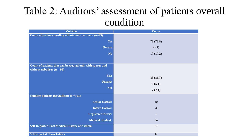### Table 2: Auditors' assessment of patients overall condition

| <b>Variable</b>                                                                            | Count          |
|--------------------------------------------------------------------------------------------|----------------|
| Count of patients needing salbutamol treatment (n=99)                                      |                |
| <b>Yes</b>                                                                                 | 78 (78.8)      |
| <b>Unsure</b>                                                                              | 4(4)           |
| N <sub>o</sub>                                                                             | 17(17.2)       |
|                                                                                            |                |
| Count of patients that can be treated only with spacer and<br>without nebuliser $(n = 98)$ |                |
| Yes:                                                                                       | 85 (86.7)      |
| <b>Unsure:</b>                                                                             | 5(5.1)         |
| No:                                                                                        | 7(7.1)         |
| Number patients per auditor: (N=101)                                                       |                |
| <b>Senior Doctor:</b>                                                                      | 10             |
| <b>Intern Doctor:</b>                                                                      | $\overline{4}$ |
| <b>Registered Nurse:</b>                                                                   | $\mathbf{1}$   |
| <b>Medical Student:</b>                                                                    | 84             |
| <b>Self-Reported Past Medical History of Asthma</b>                                        | 67             |
| <b>Self-Reported Comorbidities</b>                                                         | 12             |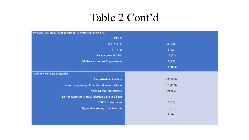### Table 2 Cont'd

| Selected Vital signs from age group 16 years and above (%) |          |
|------------------------------------------------------------|----------|
| $RR > 22$ :                                                |          |
| $SpO2<93\%$ :                                              | 46 (66)  |
| <b>HR&gt;100:</b>                                          | 3(4.2)   |
| Temperature>37.5*C:                                        | 17(23)   |
| <b>Moderate to severe Hypertension:</b>                    | 3(4.7)   |
|                                                            | 13(18.3) |
| <b>Auditor's working diagnosis:</b>                        |          |
| <b>Exacerbation of asthma:</b>                             | 47(46.5) |
| <b>Lower Respiratory Tract Infection with wheeze:</b>      | 13(12.9) |
| Viral wheeze (paediatrics):                                | 10(9.9)  |
| Lower Respiratory tract infection without wheeze:          |          |
| <b>COPD Exacerbation:</b>                                  | 9(8.9)   |
| <b>Upper Respiratory tract infection:</b>                  | 8(7.9)   |
|                                                            | 6(5.9)   |
|                                                            |          |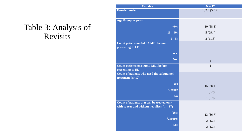#### Table 3: Analysis of Revisits

| <b>Variable</b>                                                                            | $N = 17$       |
|--------------------------------------------------------------------------------------------|----------------|
| <b>Female: male</b>                                                                        | 1, 2.4 (5, 12) |
| <b>Age Group in years</b>                                                                  |                |
| $40 +:$                                                                                    | 10(58.8)       |
| $16 - 40:$                                                                                 | 5(29.4)        |
| $1 - 5:$                                                                                   | 2(11.8)        |
| <b>Count patients on SABA MDI before</b><br>presenting to ED                               |                |
| Yes:                                                                                       | 8              |
| No:                                                                                        | 9              |
| <b>Count patients on steroid MDI before</b><br>presenting to ED                            | $\mathbf{1}$   |
| Count of patients who need the salbutamol<br>treatment $(n=17)$                            |                |
| Yes                                                                                        | 15 (88.2)      |
| <b>Unsure</b>                                                                              | 1(5.9)         |
| N <sub>0</sub>                                                                             | 1(5.9)         |
| Count of patients that can be treated only<br>with spacer and without nebuliser $(n = 17)$ |                |
| Yes:                                                                                       | 13 (86.7)      |
| <b>Unsure:</b>                                                                             | 2(1.2)         |
| No:                                                                                        | 2(1.2)         |
|                                                                                            |                |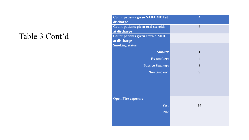### Table 3 Cont'd

| <b>Count patients given SABA MDI at</b> | $\overline{\mathbf{4}}$ |
|-----------------------------------------|-------------------------|
| discharge                               |                         |
| Count patients given oral steroids      | 6                       |
| at discharge                            |                         |
| <b>Count patients given steroid MDI</b> | $\overline{0}$          |
| at discharge                            |                         |
| <b>Smoking status</b>                   |                         |
| <b>Smoker</b>                           | $\mathbf{1}$            |
| <b>Ex-smoker:</b>                       | $\overline{4}$          |
| <b>Passive Smoker:</b>                  | 3                       |
| <b>Non Smoker:</b>                      | 9                       |
|                                         |                         |
|                                         |                         |
|                                         |                         |
|                                         |                         |
| <b>Open Fire exposure</b>               |                         |
| Yes:                                    | 14                      |
|                                         |                         |
| No:                                     | 3                       |
|                                         |                         |
|                                         |                         |
|                                         |                         |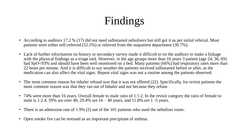## Findings

- According to auditors 17.2 % (17) did not need salbutamol nebulisers but still got it as per initial referral. Most patients were either self-referred (52.5%) or referred from the outpatient department (30.7%).
- Lack of further information on history or secondary survey made it difficult to tie the auditors to make a linkage with the physical findings as a triage tool. However, in the age groups more than 16 years 3 patient (age 24, 36, 69) had SpO<93% and should have been well monitored on a bed. Many patients (66%) had respiratory rates more than 22 beats per minute. And it is difficult to say weather the patients received salbutamol before or after, as the medication can also affect the vital signs. Repeat vital signs was not a routine among the patients observed.
- The most common reason for inhaler refusal was that it was not offered (22). Specifically, for revisit patients the most common reason was that they ran out of Inhaler and not because they refuse.
- 74% were more than 16 years. Overall female to male ratio of 1:1.2. In the revisit category the ratio of female to male is 1:2.4. 59% are over 40, 29.4% are  $16 - 40$  years, and 11.8% are 1 -5 years.
- There is an admission rate of 1.9% (2) out of the 101 patients who used the nebuliser room.
- Open smoke fire can be stressed as an important precipitant of asthma.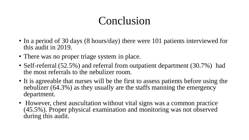### Conclusion

- In a period of 30 days (8 hours/day) there were 101 patients interviewed for this audit in 2019.
- There was no proper triage system in place.
- Self-referral (52.5%) and referral from outpatient department (30.7%) had the most referrals to the nebulizer room.
- It is agreeable that nurses will be the first to assess patients before using the nebulizer (64.3%) as they usually are the staffs manning the emergency department.
- However, chest auscultation without vital signs was a common practice (45.5%). Proper physical examination and monitoring was not observed during this audit.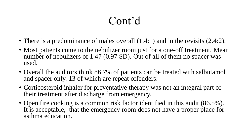### Cont'd

- There is a predominance of males overall  $(1.4:1)$  and in the revisits  $(2.4:2)$ .
- Most patients come to the nebulizer room just for a one-off treatment. Mean number of nebulizers of 1.47 (0.97 SD). Out of all of them no spacer was used.
- Overall the auditors think 86.7% of patients can be treated with salbutamol and spacer only. 13 of which are repeat offenders.
- Corticosteroid inhaler for preventative therapy was not an integral part of their treatment after discharge from emergency.
- Open fire cooking is a common risk factor identified in this audit (86.5%). It is acceptable, that the emergency room does not have a proper place for asthma education.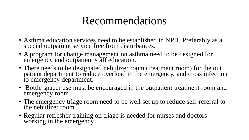### Recommendations

- Asthma education services need to be established in NPH. Preferably as a special outpatient service free from disturbances.
- A program for change management on asthma need to be designed for emergency and outpatient staff education.
- There needs to be designated nebulizer room (treatment room) for the out patient department to reduce overload in the emergency, and cross infection to emergency department.
- Bottle spacer use must be encouraged in the outpatient treatment room and emergency room.
- The emergency triage room need to be well set up to reduce self-referral to the nebulizer room.
- Regular refresher training on triage is needed for nurses and doctors working in the emergency.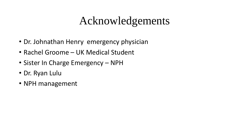### Acknowledgements

- Dr. Johnathan Henry emergency physician
- Rachel Groome UK Medical Student
- Sister In Charge Emergency NPH
- Dr. Ryan Lulu
- NPH management